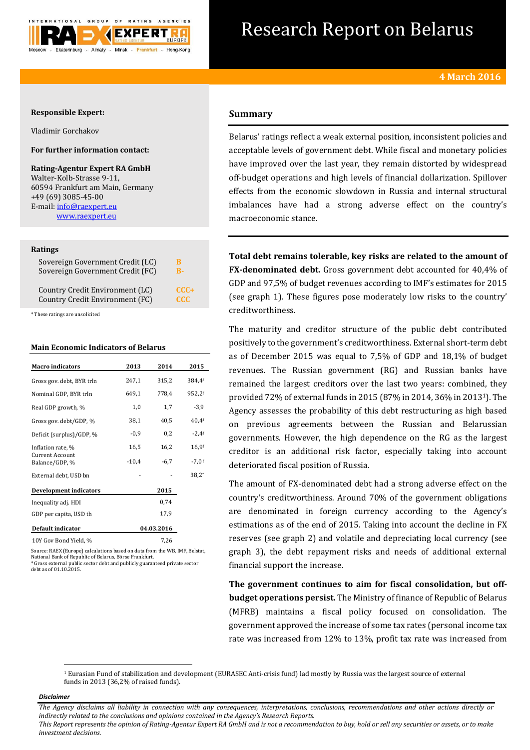

# Research Report on Belarus

## **Responsible Expert:**

Vladimir Gorchakov

# **For further information contact:**

**Rating-Agentur Expert RA GmbH** Walter-Kolb-Strasse 9-11, 60594 Frankfurt am Main, Germany +49 (69) 3085-45-00 E-mail[: info@raexpert.eu](mailto:info@raexpert.eu) [www.raexpert.eu](http://raexpert.eu/)

#### **Ratings**

| Sovereign Government Credit (LC) | R          |
|----------------------------------|------------|
| Sovereign Government Credit (FC) | R-         |
| Country Credit Environment (LC)  | $CCC +$    |
| Country Credit Environment (FC)  | <b>CCC</b> |

\* These ratings are unsolicited

#### **Main Economic Indicators of Belarus**

| <b>Macro</b> indicators                  | 2013       | 2014   | 2015     |
|------------------------------------------|------------|--------|----------|
| Gross gov. debt, BYR trln                | 247,1      | 315,2  | 384,4f   |
| Nominal GDP, BYR trln                    | 649,1      | 778,4  | 952,2f   |
| Real GDP growth, %                       | 1,0        | 1,7    | $-3,9$   |
| Gross gov. debt/GDP, %                   | 38,1       | 40,5   | $40,4$ f |
| Deficit (surplus)/GDP, %                 | $-0.9$     | 0,2    | $-2,4$ f |
| Inflation rate, %                        | 16,5       | 16,2   | 16,9f    |
| <b>Current Account</b><br>Balance/GDP, % | $-10,4$    | $-6,7$ | $-7.0$ f |
| External debt, USD bn                    |            |        | $38.2*$  |
| Development indicators                   |            | 2015   |          |
| Inequality adj. HDI                      |            | 0,74   |          |
| GDP per capita, USD th                   |            | 17,9   |          |
| Default indicator                        | 04.03.2016 |        |          |
| 10Y Gov Bond Yield, %                    |            | 7,26   |          |

Source: RAEX (Europe) calculations based on data from the WB, IMF, Belstat, National Bank of Republic of Belarus, Börse Frankfurt. \* Gross external public sector debt and publicly guaranteed private sector

debt as of 01.10.2015.

# **Summary**

Belarus' ratings reflect a weak external position, inconsistent policies and acceptable levels of government debt. While fiscal and monetary policies have improved over the last year, they remain distorted by widespread off-budget operations and high levels of financial dollarization. Spillover effects from the economic slowdown in Russia and internal structural imbalances have had a strong adverse effect on the country's macroeconomic stance.

**Total debt remains tolerable, key risks are related to the amount of FX-denominated debt.** Gross government debt accounted for 40,4% of GDP and 97,5% of budget revenues according to IMF's estimates for 2015 (see graph 1). These figures pose moderately low risks to the country' creditworthiness.

The maturity and creditor structure of the public debt contributed positively to the government's creditworthiness. External short-term debt as of December 2015 was equal to 7,5% of GDP and 18,1% of budget revenues. The Russian government (RG) and Russian banks have remained the largest creditors over the last two years: combined, they provided 72% of external funds in 2015 (87% in 2014, 36% in 20131). The Agency assesses the probability of this debt restructuring as high based on previous agreements between the Russian and Belarussian governments. However, the high dependence on the RG as the largest creditor is an additional risk factor, especially taking into account deteriorated fiscal position of Russia.

The amount of FX-denominated debt had a strong adverse effect on the country's creditworthiness. Around 70% of the government obligations are denominated in foreign currency according to the Agency's estimations as of the end of 2015. Taking into account the decline in FX reserves (see graph 2) and volatile and depreciating local currency (see graph 3), the debt repayment risks and needs of additional external financial support the increase.

**The government continues to aim for fiscal consolidation, but offbudget operations persist.** The Ministry of finance of Republic of Belarus (MFRB) maintains a fiscal policy focused on consolidation. The government approved the increase of some tax rates (personal income tax rate was increased from 12% to 13%, profit tax rate was increased from

<sup>1</sup> Eurasian Fund of stabilization and development (EURASEC Anti-crisis fund) lad mostly by Russia was the largest source of external funds in 2013 (36,2% of raised funds).

#### *Disclaimer*

 $\overline{a}$ 

*The Agency disclaims all liability in connection with any consequences, interpretations, conclusions, recommendations and other actions directly or indirectly related to the conclusions and opinions contained in the Agency's Research Reports.*

*This Report represents the opinion of Rating-Agentur Expert RA GmbH and is not a recommendation to buy, hold or sell any securities or assets, or to make investment decisions.*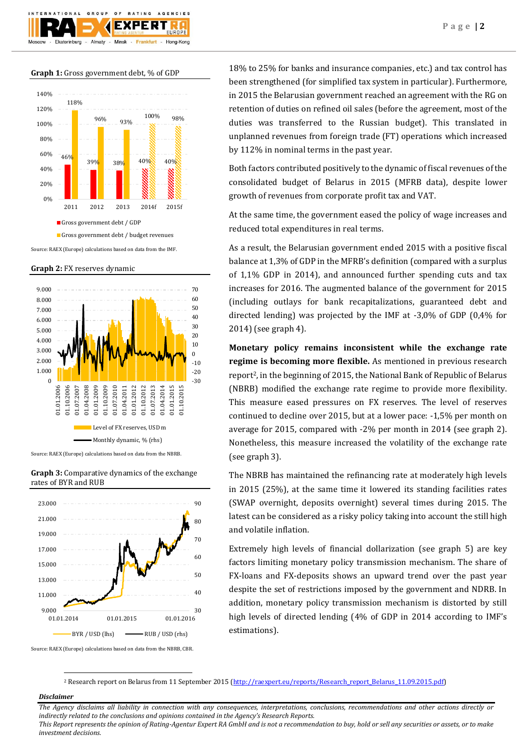**Graph 1:** Gross government debt, % of GDP

 $0 F$ 

F X I

Frankfurt

Minsk

AGENCIES

Hong-Kong

GROUP

Almaty

Ekaterinburg



**Graph 2:** FX reserves dynamic



Source: RAEX (Europe) calculations based on data from the NBRB.





18% to 25% for banks and insurance companies, etc.) and tax control has been strengthened (for simplified tax system in particular). Furthermore, in 2015 the Belarusian government reached an agreement with the RG on retention of duties on refined oil sales (before the agreement, most of the duties was transferred to the Russian budget). This translated in unplanned revenues from foreign trade (FT) operations which increased by 112% in nominal terms in the past year.

Both factors contributed positively to the dynamic of fiscal revenues of the consolidated budget of Belarus in 2015 (MFRB data), despite lower growth of revenues from corporate profit tax and VAT.

At the same time, the government eased the policy of wage increases and reduced total expenditures in real terms.

As a result, the Belarusian government ended 2015 with a positive fiscal balance at 1,3% of GDP in the MFRB's definition (compared with a surplus of 1,1% GDP in 2014), and announced further spending cuts and tax increases for 2016. The augmented balance of the government for 2015 (including outlays for bank recapitalizations, guaranteed debt and directed lending) was projected by the IMF at -3,0% of GDP (0,4% for 2014) (see graph 4).

**Monetary policy remains inconsistent while the exchange rate regime is becoming more flexible.** As mentioned in previous research report2, in the beginning of 2015, the National Bank of Republic of Belarus (NBRB) modified the exchange rate regime to provide more flexibility. This measure eased pressures on FX reserves. The level of reserves continued to decline over 2015, but at a lower pace: -1,5% per month on average for 2015, compared with -2% per month in 2014 (see graph 2). Nonetheless, this measure increased the volatility of the exchange rate (see graph 3).

The NBRB has maintained the refinancing rate at moderately high levels in 2015 (25%), at the same time it lowered its standing facilities rates (SWAP overnight, deposits overnight) several times during 2015. The latest can be considered as a risky policy taking into account the still high and volatile inflation.

Extremely high levels of financial dollarization (see graph 5) are key factors limiting monetary policy transmission mechanism. The share of FX-loans and FX-deposits shows an upward trend over the past year despite the set of restrictions imposed by the government and NDRB. In addition, monetary policy transmission mechanism is distorted by still high levels of directed lending (4% of GDP in 2014 according to IMF's estimations).

<sup>2</sup> Research report on Belarus from 11 September 2015 [\(http://raexpert.eu/reports/Research\\_report\\_Belarus\\_11.09.2015.pdf\)](http://raexpert.eu/reports/Research_report_Belarus_11.09.2015.pdf)

## *Disclaimer*

1

*The Agency disclaims all liability in connection with any consequences, interpretations, conclusions, recommendations and other actions directly or indirectly related to the conclusions and opinions contained in the Agency's Research Reports. This Report represents the opinion of Rating-Agentur Expert RA GmbH and is not a recommendation to buy, hold or sell any securities or assets, or to make* 

*investment decisions.*